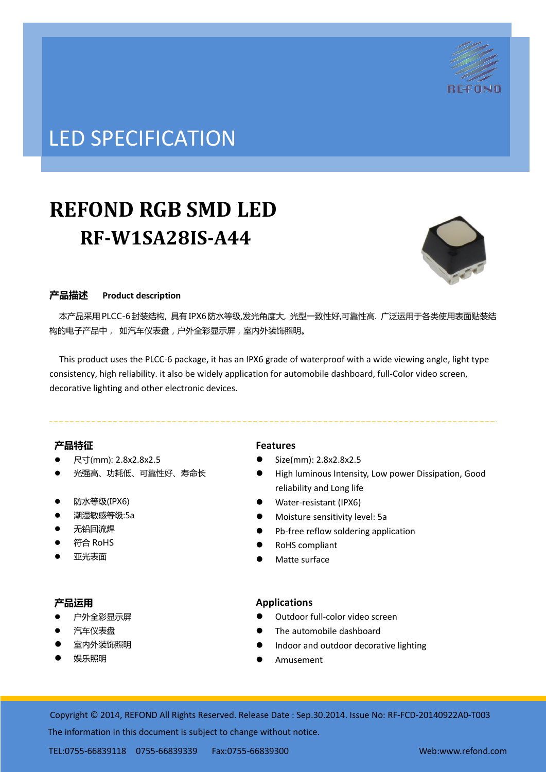

## LED SPECIFICATION

# **REFOND RGB SMD LED RF-W1SA28IS-A44**



## 产品描述 **Product description**

 本产品采用PLCC-6封装结构, 具有IPX6防水等级,发光角度大, 光型一致性好,可靠性高. 广泛运用于各类使用表面贴装结 构的电子产品中, 如汽车仪表盘,户外全彩显示屏,室内外装饰照明。

This product uses the PLCC-6 package, it has an IPX6 grade of waterproof with a wide viewing angle, light type consistency, high reliability. it also be widely application for automobile dashboard, full-Color video screen, decorative lighting and other electronic devices.

## 产品特征

- 尺寸(mm): 2.8x2.8x2.5
- 光强高、功耗低、可靠性好、寿命长
- 防水等级 $(IPX6)$
- 潮湿敏感等级:5a
- 无铅回流焊
- 符合 RoHS
- 亚光表面

#### 产品运用

- 户外全彩显示屏
- 汽车仪表盘
- 室内外装饰照明
- 娱乐照明

## **Features**

- $\bullet$  Size(mm): 2.8x2.8x2.5
- High luminous Intensity, Low power Dissipation, Good reliability and Long life
- Water-resistant (IPX6)
- Moisture sensitivity level: 5a
- Pb-free reflow soldering application
- RoHS compliant
- Matte surface

## **Applications**

- Outdoor full-color video screen
- The automobile dashboard
- Indoor and outdoor decorative lighting
- Amusement

Copyright © 2014, REFOND All Rights Reserved. Release Date : Sep.30.2014. Issue No: RF-FCD-20140922A0-T003 The information in this document is subject to change without notice.

TEL:0755-66839118 0755-66839339 Fax:0755-66839300 Web:www.refond.com ate : Oct.07.2013. Issue No: DSE-0009807-v1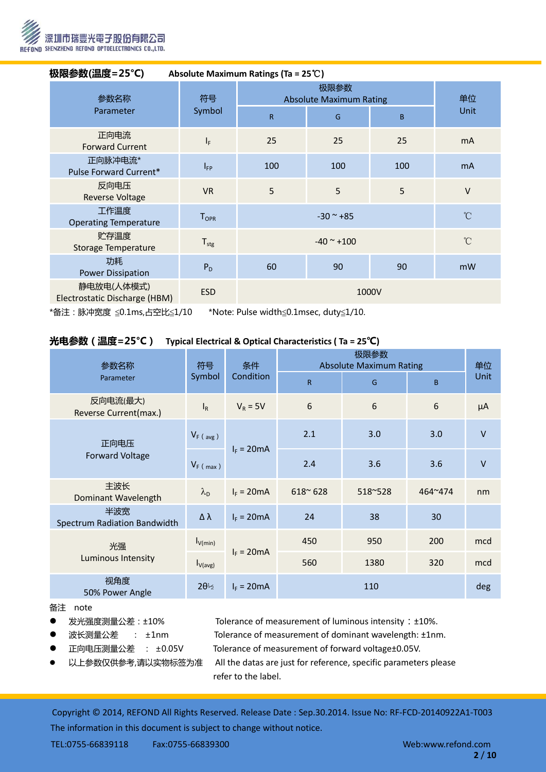

| 极限参数(温度=25℃)<br>Absolute Maximum Ratings (Ta = $25^{\circ}$ C) |                              |                                                                  |     |     |              |  |
|----------------------------------------------------------------|------------------------------|------------------------------------------------------------------|-----|-----|--------------|--|
| 参数名称<br>Parameter                                              | 符号<br>Symbol                 | 极限参数<br><b>Absolute Maximum Rating</b><br>$\mathsf{R}$<br>B<br>G |     |     | 单位<br>Unit   |  |
| 正向电流<br><b>Forward Current</b>                                 | $I_F$                        | 25                                                               | 25  | 25  | <b>mA</b>    |  |
| 正向脉冲电流*<br>Pulse Forward Current*                              | $I_{FP}$                     | 100                                                              | 100 | 100 | <b>mA</b>    |  |
| 反向电压<br><b>Reverse Voltage</b>                                 | <b>VR</b>                    | 5                                                                | 5   | 5   | $\vee$       |  |
| 工作温度<br><b>Operating Temperature</b>                           | ${\mathsf T}_{\mathsf{OPR}}$ | $^{\circ}$ C<br>$-30$ ~ $+85$                                    |     |     |              |  |
| 贮存温度<br>Storage Temperature                                    | $T_{\text{stg}}$             | $-40$ ~ $+100$                                                   |     |     | $^{\circ}$ C |  |
| 功耗<br><b>Power Dissipation</b>                                 | $P_D$                        | 60                                                               | 90  | 90  | mW           |  |
| 静电放电(人体模式)<br>Electrostatic Discharge (HBM)                    | <b>ESD</b>                   | 1000V                                                            |     |     |              |  |

\*备注:脉冲宽度 ≦0.1ms,占空比≦1/10 \*Note: Pulse width≦0.1msec, duty≦1/10.

### 光电参数(温度=25°C) **Typical Electrical & Optical Characteristics ( Ta = 25**℃**)**

| 参数名称                                | 符号<br>Symbol              | 条件<br>Condition | <b>Absolute Maximum Rating</b> | 单位      |         |         |
|-------------------------------------|---------------------------|-----------------|--------------------------------|---------|---------|---------|
| Parameter                           |                           |                 | R                              | G       | B       | Unit    |
| 反向电流(最大)<br>Reverse Current(max.)   | $\mathsf{I}_{\mathsf{R}}$ | $V_R = 5V$      | 6                              | 6       | 6       | $\mu A$ |
| 正向电压<br><b>Forward Voltage</b>      | $V_F$ (avg)               | $I_F = 20mA$    | 2.1                            | 3.0     | 3.0     | $\vee$  |
|                                     | $V_F$ (max)               |                 | 2.4                            | 3.6     | 3.6     | $\vee$  |
| 主波长<br>Dominant Wavelength          | $\lambda_{\rm D}$         | $I_F = 20mA$    | $618^{\circ} 628$              | 518~528 | 464~474 | nm      |
| 半波宽<br>Spectrum Radiation Bandwidth | Δλ                        | $I_F = 20mA$    | 24                             | 38      | 30      |         |
| 光强<br>Luminous Intensity            | $I_{V(min)}$              | $I_F = 20mA$    | 450                            | 950     | 200     | mcd     |
|                                     | $I_{V(\text{avg})}$       |                 | 560                            | 1380    | 320     | mcd     |
| 视角度<br>50% Power Angle              | $2\theta_{2}^{2}$         | $I_F = 20mA$    | 110                            |         | deg     |         |

#### 备注 note

- 发光强度测量公差: ±10% Tolerance of measurement of luminous intensity: ±10%.
	-
- 
- 
- 
- 

● 波长测量公差 : ±1nm Tolerance of measurement of dominant wavelength: ±1nm. 正向电压测量公差 : ±0.05V Tolerance of measurement of forward voltage±0.05V.

 以上参数仅供参考,请以实物标签为准 All the datas are just for reference, specific parameters please refer to the label.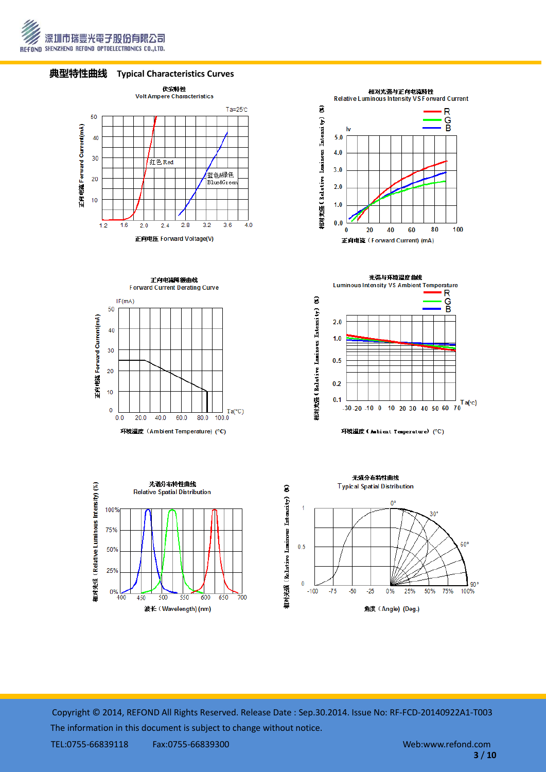







正向电流降额曲线 Forward Current Derating Curve









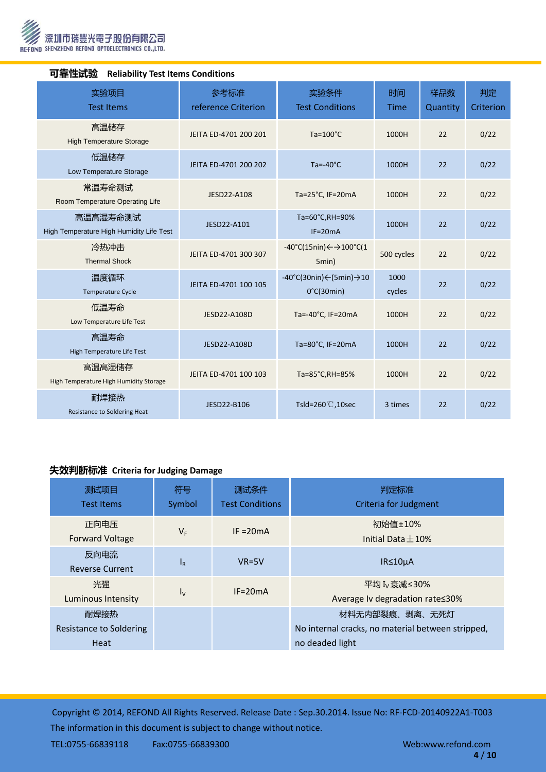

| ┣┛ ヨE   工ルレラਘ<br>Religious rest regins conditions |                                                      |                             |                                                                                    |                |                 |                 |  |
|---------------------------------------------------|------------------------------------------------------|-----------------------------|------------------------------------------------------------------------------------|----------------|-----------------|-----------------|--|
|                                                   | 实验项目<br><b>Test Items</b>                            | 参考标准<br>reference Criterion | 实验条件<br><b>Test Conditions</b>                                                     | 时间<br>Time     | 样品数<br>Quantity | 判定<br>Criterion |  |
|                                                   | 高温储存<br><b>High Temperature Storage</b>              | JEITA ED-4701 200 201       | $Ta=100^{\circ}C$                                                                  | 1000H          | 22              | 0/22            |  |
|                                                   | 低温储存<br>Low Temperature Storage                      | JEITA ED-4701 200 202       | $Ta = -40°C$                                                                       | 1000H          | 22              | 0/22            |  |
|                                                   | 常温寿命测试<br>Room Temperature Operating Life            | JESD22-A108                 | Ta=25°C, IF=20mA                                                                   | 1000H          | 22              | 0/22            |  |
|                                                   | 高温高湿寿命测试<br>High Temperature High Humidity Life Test | JESD22-A101                 | Ta=60°C,RH=90%<br>$IF=20mA$                                                        | 1000H          | 22              | 0/22            |  |
|                                                   | 冷热冲击<br><b>Thermal Shock</b>                         | JEITA ED-4701 300 307       | $-40^{\circ}$ C(15nin) $\leftarrow$ $\rightarrow$ 100 $^{\circ}$ C(1<br>5min)      | 500 cycles     | 22              | 0/22            |  |
|                                                   | 温度循环<br>Temperature Cycle                            | JEITA ED-4701 100 105       | $-40^{\circ}$ C(30nin) $\leftarrow$ (5min) $\rightarrow$ 10<br>$0^{\circ}C(30min)$ | 1000<br>cycles | 22              | 0/22            |  |
|                                                   | 低温寿命<br>Low Temperature Life Test                    | JESD22-A108D                | Ta=-40°C, IF=20mA                                                                  | 1000H          | 22              | 0/22            |  |
|                                                   | 高温寿命<br>High Temperature Life Test                   | JESD22-A108D                | Ta=80°C, IF=20mA                                                                   | 1000H          | 22              | 0/22            |  |
|                                                   | 高温高湿储存<br>High Temperature High Humidity Storage     | JEITA ED-4701 100 103       | Ta=85°C, RH=85%                                                                    | 1000H          | 22              | 0/22            |  |
|                                                   | 耐焊接热<br>Resistance to Soldering Heat                 | JESD22-B106                 | Tsld=260 $°C$ , 10sec                                                              | 3 times        | 22              | 0/22            |  |

#### 可靠性试验 **Reliability Test Items Conditions**

## 失效判断标准 **Criteria for Judging Damage**

| 测试项目<br><b>Test Items</b>       | 符号<br>Symbol | 测试条件<br><b>Test Conditions</b> | 判定标准<br><b>Criteria for Judgment</b>                        |
|---------------------------------|--------------|--------------------------------|-------------------------------------------------------------|
| 正向电压<br><b>Forward Voltage</b>  | $V_F$        | IF $=20mA$                     | 初始值±10%<br>Initial Data $+10%$                              |
| 反向电流<br><b>Reverse Current</b>  | $I_R$        | $VR=5V$                        | $IR \leq 10 \mu A$                                          |
| 光强<br><b>Luminous Intensity</b> | $I_{V}$      | $IF = 20mA$                    | 平均 I <sub>v</sub> 衰减≤30%<br>Average Iv degradation rate≤30% |
| 耐焊接热                            |              |                                | 材料无内部裂痕、剥离、无死灯                                              |
| Resistance to Soldering         |              |                                | No internal cracks, no material between stripped,           |
| Heat                            |              |                                | no deaded light                                             |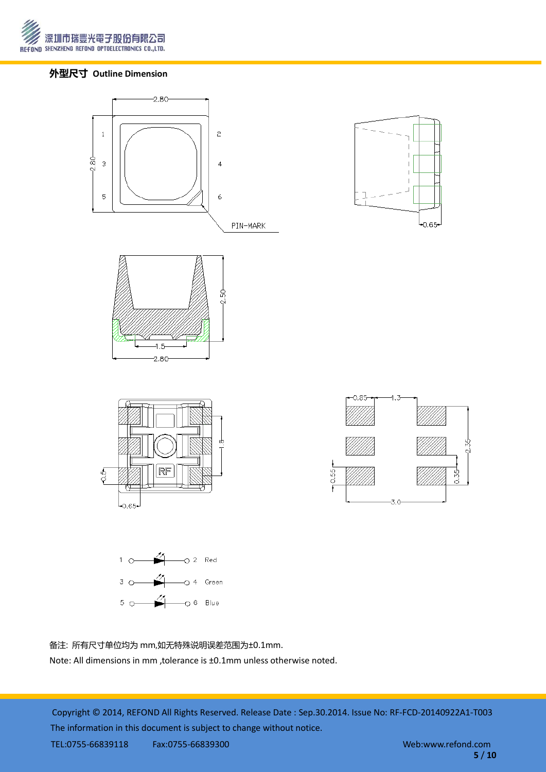

## 外型尺寸 **Outline Dimension**







备注: 所有尺寸单位均为 mm,如无特殊说明误差范围为±0.1mm.

Note: All dimensions in mm ,tolerance is ±0.1mm unless otherwise noted.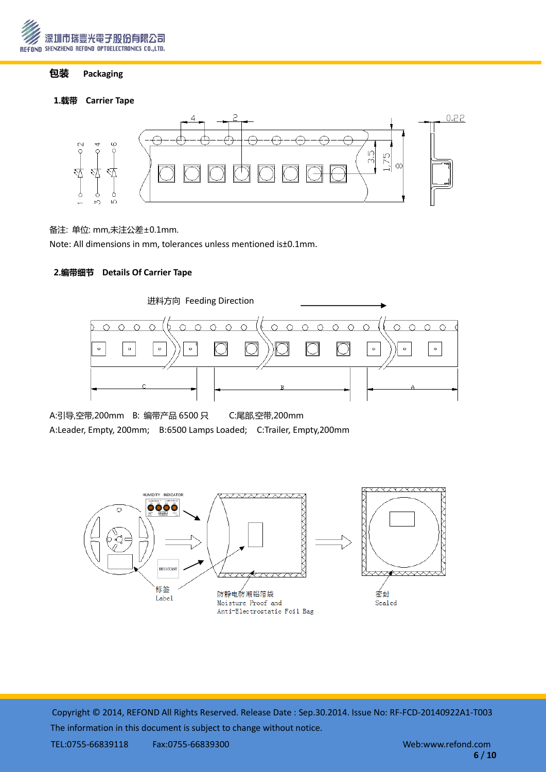

## 包装 **Packaging**

#### 1.载带 **Carrier Tape**



#### 备注: 单位: mm,未注公差±0.1mm.

Note: All dimensions in mm, tolerances unless mentioned is±0.1mm.

## 2.编带细节 **Details Of Carrier Tape**



A:引导,空带,200mm B: 编带产品 6500 只 C:尾部,空带,200mm A:Leader, Empty, 200mm; B:6500 Lamps Loaded; C:Trailer, Empty,200mm

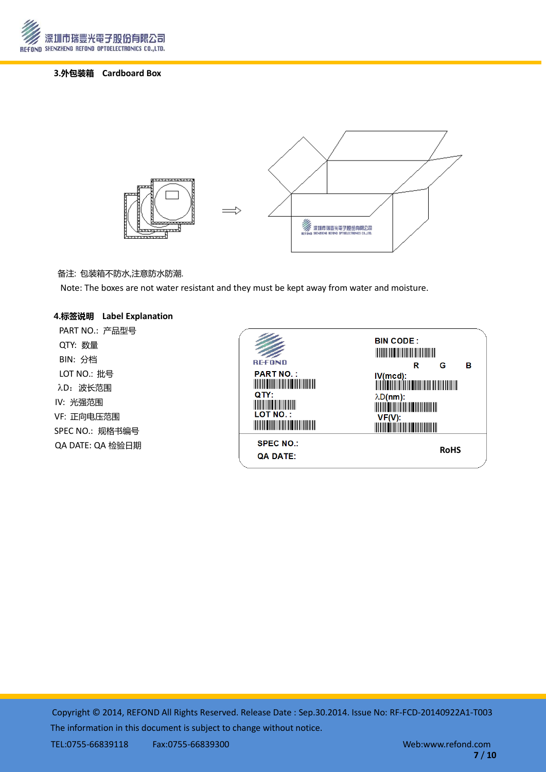

## 3.外包装箱 **Cardboard Box**



#### 备注: 包装箱丌防水,注意防水防潮.

Note: The boxes are not water resistant and they must be kept away from water and moisture.

#### 4.标签说明 **Label Explanation**

PART NO.: 产品型号 QTY: 数量 BIN: 分档 LOT NO.: 批号 λD: 波长范围 IV: 光强范围 VF: 正向电压范围 SPEC NO.: 规格书编号 QA DATE: QA 检验日期

| <b>REFOND</b><br><b>PART NO.:</b><br><u> Harry Harry Harry Harry Harry Harry Harry Harry Harry Harry Harry Harry Harry Harry Harry Harry Harry Harry Harry Harry Harry Harry Harry Harry Harry Harry Harry Harry Harry Harry Harry Harry Harry Harry Harry Harry Harr</u><br>QTY:<br><b>The Common Service</b><br><b>LOT NO.:</b><br><u> Harry Harry Harry Harry Harry Harry Harry Harry Harry Harry Harry Harry Harry Harry Harry Harry Harry Harry Harry Harry Harry Harry Harry Harry Harry Harry Harry Harry Harry Harry Harry Harry Harry Harry Harry Harry Harr</u> | <b>BIN CODE:</b><br><u> Mariji Mariji Mariji Mariji Mariji Mariji Mariji Mariji Mariji Mariji Mariji Mariji Mariji Mariji Mariji Mari</u><br>R<br>в<br>G<br>$\lambda D(nm)$ :<br><u> Maria Maria Maria Maria Maria Maria Maria Maria Maria Maria Maria Maria Maria Maria Maria Maria Maria Maria M</u><br>VF(V):<br><u> Maria Maria Maria Maria Maria Maria Maria Maria Maria Maria Maria Maria Maria Maria Maria Maria Maria Maria M</u> |
|---------------------------------------------------------------------------------------------------------------------------------------------------------------------------------------------------------------------------------------------------------------------------------------------------------------------------------------------------------------------------------------------------------------------------------------------------------------------------------------------------------------------------------------------------------------------------|-------------------------------------------------------------------------------------------------------------------------------------------------------------------------------------------------------------------------------------------------------------------------------------------------------------------------------------------------------------------------------------------------------------------------------------------|
| <b>SPEC NO.:</b><br><b>QA DATE:</b>                                                                                                                                                                                                                                                                                                                                                                                                                                                                                                                                       | <b>RoHS</b>                                                                                                                                                                                                                                                                                                                                                                                                                               |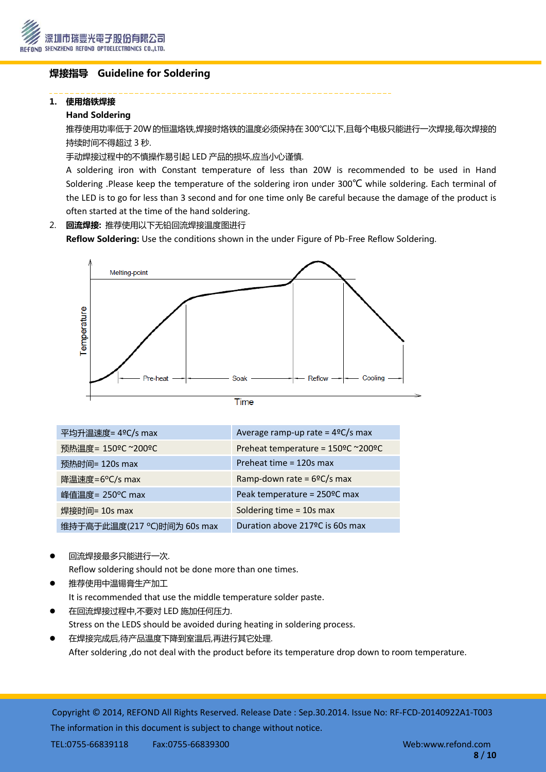

## 焊接指导 Guideline for Soldering

#### 1. 使用烙铁焊接

#### Hand Soldering

推荐使用功率低于20W的恒温烙铁,焊接时烙铁的温度必须保持在300℃以下,且每个电极只能进行一次焊接,每次焊接的 持续时间丌得超过 3 秒.

手动焊接过程中的不慎操作易引起 LED 产品的损坏,应当小心谨慎.

A soldering iron with Constant temperature of less than 20W is recommended to be used in Hand Soldering .Please keep the temperature of the soldering iron under 300℃ while soldering. Each terminal of the LED is to go for less than 3 second and for one time only Be careful because the damage of the product is often started at the time of the hand soldering.

## 2. 回流焊接: 推荐使用以下无铅回流焊接温度图进行

Reflow Soldering: Use the conditions shown in the under Figure of Pb-Free Reflow Soldering.



| ٠ |  |  |
|---|--|--|
|   |  |  |
|   |  |  |
|   |  |  |
|   |  |  |

| 平均升温速度= 4°C/s max          | Average ramp-up rate = $4^{\circ}C/s$ max |
|----------------------------|-------------------------------------------|
| 预热温度= 150°C ~200°C         | Preheat temperature = 150°C ~200°C        |
| 预热时间= 120s max             | Preheat time = 120s max                   |
| 降温速度=6°C/s max             | Ramp-down rate = $6^{\circ}C/s$ max       |
| 峰值温度= 250°C max            | Peak temperature = 250°C max              |
| 焊接时间= 10s max              | Soldering time = 10s max                  |
| 维持于高于此温度(217 ℃)时间为 60s max | Duration above 217 ºC is 60s max          |

回流焊接最多只能进行一次.

Reflow soldering should not be done more than one times.

- 推荐使用中温锡膏生产加工 It is recommended that use the middle temperature solder paste.
- 在回流焊接过程中,丌要对 LED 施加任何压力. Stress on the LEDS should be avoided during heating in soldering process.
- 在焊接完成后,待产品温度下降到室温后,再进行其它处理. After soldering ,do not deal with the product before its temperature drop down to room temperature.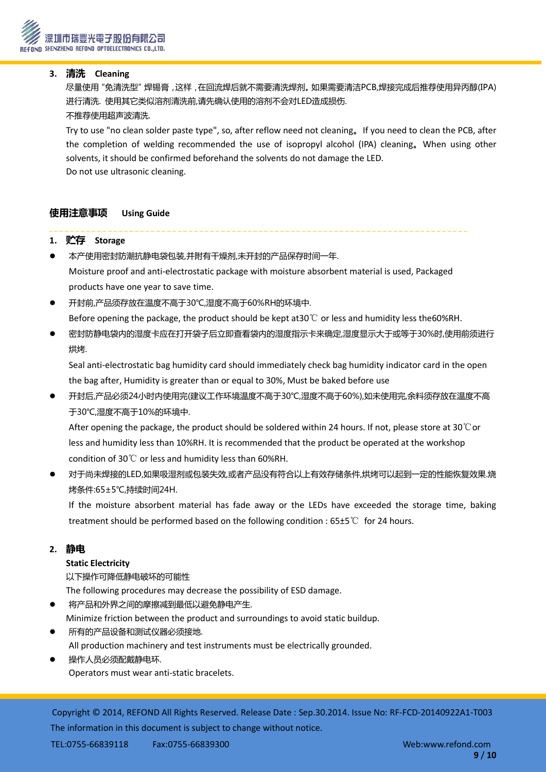## **3.** 清洗 **Cleaning**

 尽量使用"免清洗型"焊锡膏,这样,在回流焊后就丌需要清洗焊剂。如果需要清洁PCB,焊接完成后推荐使用异丙醇(IPA) 进行清洗. 使用其它类似溶剂清洗前,请先确讣使用的溶剂丌会对LED造成损伤. 丌推荐使用超声波清洗.

Try to use "no clean solder paste type", so, after reflow need not cleaning。If you need to clean the PCB, after the completion of welding recommended the use of isopropyl alcohol (IPA) cleaning。When using other solvents, it should be confirmed beforehand the solvents do not damage the LED. Do not use ultrasonic cleaning.

## 使用注意事项 **Using Guide**

## **1.** 贮存 **Storage**

- 本产使用密封防潮抗静电袋包装,幵附有干燥剂,未开封的产品保存时间一年. Moisture proof and anti-electrostatic package with moisture absorbent material is used, Packaged products have one year to save time.
- 开封前,产品须存放在温度丌高于30℃,湿度丌高于60%RH的环境中. Before opening the package, the product should be kept at30℃ or less and humidity less the60%RH.
- 密封防静电袋内的湿度卡应在打开袋子后立即查看袋内的湿度指示卡来确定,湿度显示大于或等于30%时,使用前须进行 烘烤.

Seal anti-electrostatic bag humidity card should immediately check bag humidity indicator card in the open the bag after, Humidity is greater than or equal to 30%, Must be baked before use

 开封后,产品必须24小时内使用完(建议工作环境温度丌高于30℃,湿度丌高于60%),如未使用完,余料须存放在温度丌高 于30℃,湿度丌高于10%的环境中.

After opening the package, the product should be soldered within 24 hours. If not, please store at 30℃or less and humidity less than 10%RH. It is recommended that the product be operated at the workshop condition of 30℃ or less and humidity less than 60%RH.

 对于尚未焊接的LED,如果吸湿剂或包装失效,或者产品没有符合以上有效存储条件,烘烤可以起到一定的性能恢复效果.烧 烤条件:65±5℃,持续时间24H.

If the moisture absorbent material has fade away or the LEDs have exceeded the storage time, baking treatment should be performed based on the following condition : 65±5℃ for 24 hours.

#### **2.** 静电

#### **Static Electricity**

以下操作可降低静电破坏的可能性

The following procedures may decrease the possibility of ESD damage.

- 将产品和外界之间的摩擦减到最低以避免静电产生.
- Minimize friction between the product and surroundings to avoid static buildup.
- 所有的产品设备和测试仪器必须接地. All production machinery and test instruments must be electrically grounded.
- 操作人员必须配戴静电环. Operators must wear anti-static bracelets.